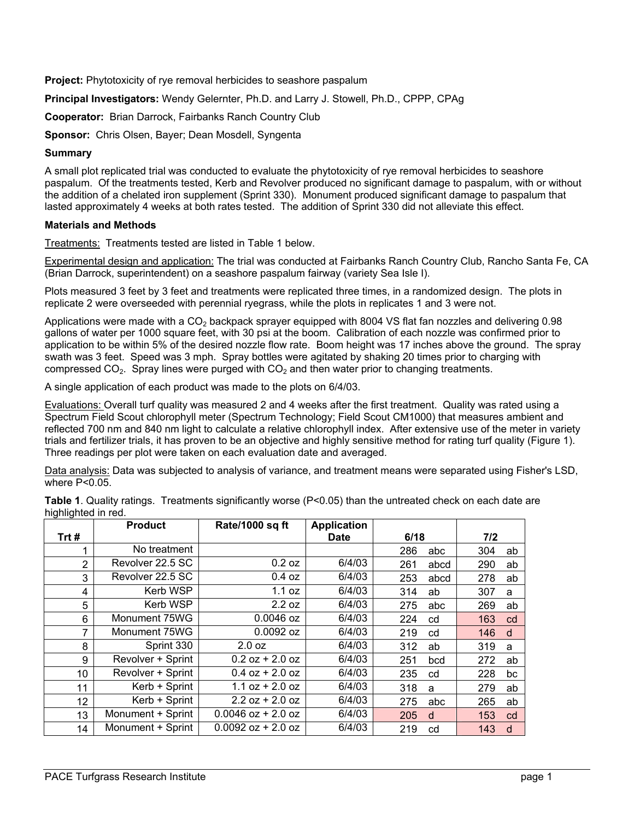**Project:** Phytotoxicity of rye removal herbicides to seashore paspalum

**Principal Investigators:** Wendy Gelernter, Ph.D. and Larry J. Stowell, Ph.D., CPPP, CPAg

**Cooperator:** Brian Darrock, Fairbanks Ranch Country Club

**Sponsor:** Chris Olsen, Bayer; Dean Mosdell, Syngenta

## **Summary**

A small plot replicated trial was conducted to evaluate the phytotoxicity of rye removal herbicides to seashore paspalum. Of the treatments tested, Kerb and Revolver produced no significant damage to paspalum, with or without the addition of a chelated iron supplement (Sprint 330). Monument produced significant damage to paspalum that lasted approximately 4 weeks at both rates tested. The addition of Sprint 330 did not alleviate this effect.

## **Materials and Methods**

Treatments: Treatments tested are listed in Table 1 below.

Experimental design and application: The trial was conducted at Fairbanks Ranch Country Club, Rancho Santa Fe, CA (Brian Darrock, superintendent) on a seashore paspalum fairway (variety Sea Isle I).

Plots measured 3 feet by 3 feet and treatments were replicated three times, in a randomized design. The plots in replicate 2 were overseeded with perennial ryegrass, while the plots in replicates 1 and 3 were not.

Applications were made with a  $CO<sub>2</sub>$  backpack sprayer equipped with 8004 VS flat fan nozzles and delivering 0.98 gallons of water per 1000 square feet, with 30 psi at the boom. Calibration of each nozzle was confirmed prior to application to be within 5% of the desired nozzle flow rate. Boom height was 17 inches above the ground. The spray swath was 3 feet. Speed was 3 mph. Spray bottles were agitated by shaking 20 times prior to charging with compressed  $CO<sub>2</sub>$ . Spray lines were purged with  $CO<sub>2</sub>$  and then water prior to changing treatments.

A single application of each product was made to the plots on 6/4/03.

Evaluations: Overall turf quality was measured 2 and 4 weeks after the first treatment. Quality was rated using a Spectrum Field Scout chlorophyll meter (Spectrum Technology; Field Scout CM1000) that measures ambient and reflected 700 nm and 840 nm light to calculate a relative chlorophyll index. After extensive use of the meter in variety trials and fertilizer trials, it has proven to be an objective and highly sensitive method for rating turf quality (Figure 1). Three readings per plot were taken on each evaluation date and averaged.

Data analysis: Data was subjected to analysis of variance, and treatment means were separated using Fisher's LSD, where P<0.05.

| ັ              | <b>Product</b>    | Rate/1000 sq ft      | <b>Application</b> |             |           |
|----------------|-------------------|----------------------|--------------------|-------------|-----------|
| Trt#           |                   |                      | <b>Date</b>        | 6/18        | 7/2       |
|                | No treatment      |                      |                    | 286<br>abc  | 304<br>ab |
| 2              | Revolver 22.5 SC  | 0.2 oz               | 6/4/03             | 261<br>abcd | 290<br>ab |
| 3              | Revolver 22.5 SC  | 0.4 oz               | 6/4/03             | 253<br>abcd | 278<br>ab |
| 4              | Kerb WSP          | 1.1 oz               | 6/4/03             | 314<br>ab   | 307<br>a  |
| 5              | Kerb WSP          | 2.2 oz               | 6/4/03             | 275<br>abc  | 269<br>ab |
| 6              | Monument 75WG     | $0.0046$ oz          | 6/4/03             | 224<br>cd   | 163<br>cd |
| $\overline{7}$ | Monument 75WG     | 0.0092 oz            | 6/4/03             | 219<br>cd   | 146<br>d  |
| 8              | Sprint 330        | 2.0 oz               | 6/4/03             | 312<br>ab   | 319<br>a  |
| 9              | Revolver + Sprint | $0.2$ oz + 2.0 oz    | 6/4/03             | 251<br>bcd  | 272<br>ab |
| 10             | Revolver + Sprint | $0.4$ oz + 2.0 oz    | 6/4/03             | 235<br>cd   | 228<br>bc |
| 11             | Kerb + Sprint     | $1.1$ oz + 2.0 oz    | 6/4/03             | 318<br>a    | 279<br>ab |
| 12             | Kerb + Sprint     | $2.2$ oz + 2.0 oz    | 6/4/03             | 275<br>abc  | 265<br>ab |
| 13             | Monument + Sprint | $0.0046$ oz + 2.0 oz | 6/4/03             | 205<br>d    | 153<br>cd |
| 14             | Monument + Sprint | $0.0092$ oz + 2.0 oz | 6/4/03             | 219<br>cd   | 143<br>d  |

**Table 1**. Quality ratings. Treatments significantly worse (P<0.05) than the untreated check on each date are highlighted in red.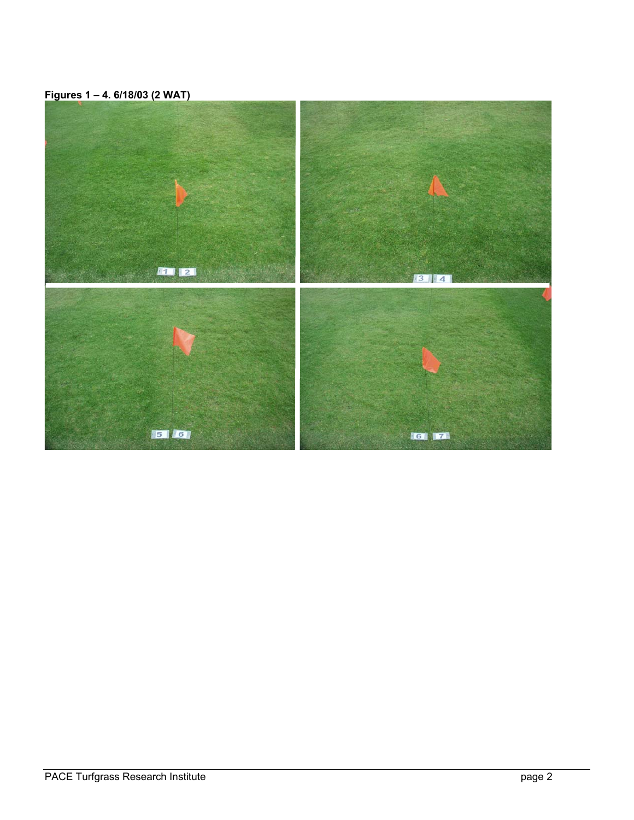**Figures 1 – 4. 6/18/03 (2 WAT)**